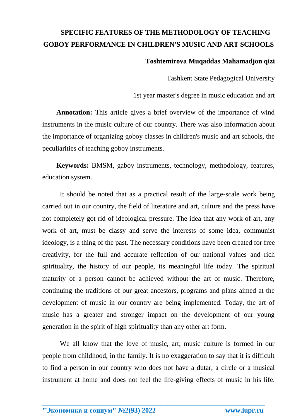## **SPECIFIC FEATURES OF THE METHODOLOGY OF TEACHING GOBOY PERFORMANCE IN CHILDREN'S MUSIC AND ART SCHOOLS**

## **Toshtemirova Muqaddas Mahamadjon qizi**

Tashkent State Pedagogical University

1st year master's degree in music education and art

**Annotation:** This article gives a brief overview of the importance of wind instruments in the music culture of our country. There was also information about the importance of organizing goboy classes in children's music and art schools, the peculiarities of teaching goboy instruments.

**Keywords:** BMSM, gaboy instruments, technology, methodology, features, education system.

It should be noted that as a practical result of the large-scale work being carried out in our country, the field of literature and art, culture and the press have not completely got rid of ideological pressure. The idea that any work of art, any work of art, must be classy and serve the interests of some idea, communist ideology, is a thing of the past. The necessary conditions have been created for free creativity, for the full and accurate reflection of our national values and rich spirituality, the history of our people, its meaningful life today. The spiritual maturity of a person cannot be achieved without the art of music. Therefore, continuing the traditions of our great ancestors, programs and plans aimed at the development of music in our country are being implemented. Today, the art of music has a greater and stronger impact on the development of our young generation in the spirit of high spirituality than any other art form.

We all know that the love of music, art, music culture is formed in our people from childhood, in the family. It is no exaggeration to say that it is difficult to find a person in our country who does not have a dutar, a circle or a musical instrument at home and does not feel the life-giving effects of music in his life.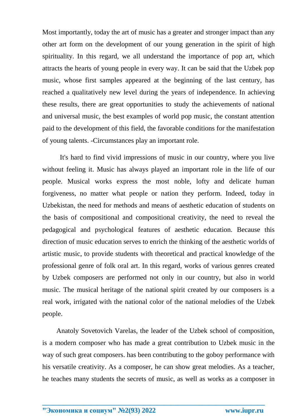Most importantly, today the art of music has a greater and stronger impact than any other art form on the development of our young generation in the spirit of high spirituality. In this regard, we all understand the importance of pop art, which attracts the hearts of young people in every way. It can be said that the Uzbek pop music, whose first samples appeared at the beginning of the last century, has reached a qualitatively new level during the years of independence. In achieving these results, there are great opportunities to study the achievements of national and universal music, the best examples of world pop music, the constant attention paid to the development of this field, the favorable conditions for the manifestation of young talents. -Circumstances play an important role.

It's hard to find vivid impressions of music in our country, where you live without feeling it. Music has always played an important role in the life of our people. Musical works express the most noble, lofty and delicate human forgiveness, no matter what people or nation they perform. Indeed, today in Uzbekistan, the need for methods and means of aesthetic education of students on the basis of compositional and compositional creativity, the need to reveal the pedagogical and psychological features of aesthetic education. Because this direction of music education serves to enrich the thinking of the aesthetic worlds of artistic music, to provide students with theoretical and practical knowledge of the professional genre of folk oral art. In this regard, works of various genres created by Uzbek composers are performed not only in our country, but also in world music. The musical heritage of the national spirit created by our composers is a real work, irrigated with the national color of the national melodies of the Uzbek people.

Anatoly Sovetovich Varelas, the leader of the Uzbek school of composition, is a modern composer who has made a great contribution to Uzbek music in the way of such great composers. has been contributing to the goboy performance with his versatile creativity. As a composer, he can show great melodies. As a teacher, he teaches many students the secrets of music, as well as works as a composer in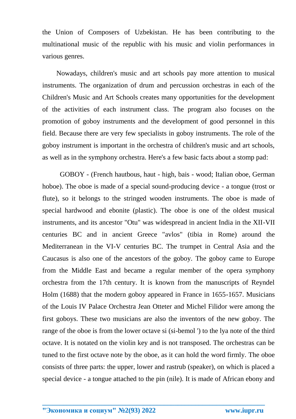the Union of Composers of Uzbekistan. He has been contributing to the multinational music of the republic with his music and violin performances in various genres.

Nowadays, children's music and art schools pay more attention to musical instruments. The organization of drum and percussion orchestras in each of the Children's Music and Art Schools creates many opportunities for the development of the activities of each instrument class. The program also focuses on the promotion of goboy instruments and the development of good personnel in this field. Because there are very few specialists in goboy instruments. The role of the goboy instrument is important in the orchestra of children's music and art schools, as well as in the symphony orchestra. Here's a few basic facts about a stomp pad:

GOBOY - (French hautbous, haut - high, bais - wood; Italian oboe, German hoboe). The oboe is made of a special sound-producing device - a tongue (trost or flute), so it belongs to the stringed wooden instruments. The oboe is made of special hardwood and ebonite (plastic). The oboe is one of the oldest musical instruments, and its ancestor "Otu" was widespread in ancient India in the XII-VII centuries BC and in ancient Greece "avlos" (tibia in Rome) around the Mediterranean in the VI-V centuries BC. The trumpet in Central Asia and the Caucasus is also one of the ancestors of the goboy. The goboy came to Europe from the Middle East and became a regular member of the opera symphony orchestra from the 17th century. It is known from the manuscripts of Reyndel Holm (1688) that the modern goboy appeared in France in 1655-1657. Musicians of the Louis IV Palace Orchestra Jean Otteter and Michel Filidor were among the first goboys. These two musicians are also the inventors of the new goboy. The range of the oboe is from the lower octave si (si-bemol ') to the lya note of the third octave. It is notated on the violin key and is not transposed. The orchestras can be tuned to the first octave note by the oboe, as it can hold the word firmly. The oboe consists of three parts: the upper, lower and rastrub (speaker), on which is placed a special device - a tongue attached to the pin (nile). It is made of African ebony and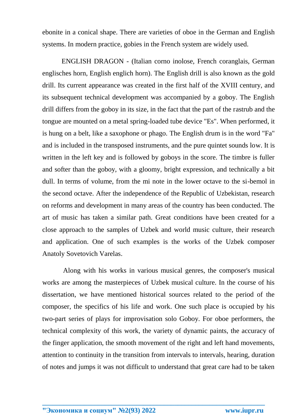ebonite in a conical shape. There are varieties of oboe in the German and English systems. In modern practice, gobies in the French system are widely used.

ENGLISH DRAGON - (Italian corno inolose, French coranglais, German englisches horn, English englich horn). The English drill is also known as the gold drill. Its current appearance was created in the first half of the XVIII century, and its subsequent technical development was accompanied by a goboy. The English drill differs from the goboy in its size, in the fact that the part of the rastrub and the tongue are mounted on a metal spring-loaded tube device "Es". When performed, it is hung on a belt, like a saxophone or phago. The English drum is in the word "Fa" and is included in the transposed instruments, and the pure quintet sounds low. It is written in the left key and is followed by goboys in the score. The timbre is fuller and softer than the goboy, with a gloomy, bright expression, and technically a bit dull. In terms of volume, from the mi note in the lower octave to the si-bemol in the second octave. After the independence of the Republic of Uzbekistan, research on reforms and development in many areas of the country has been conducted. The art of music has taken a similar path. Great conditions have been created for a close approach to the samples of Uzbek and world music culture, their research and application. One of such examples is the works of the Uzbek composer Anatoly Sovetovich Varelas.

 Along with his works in various musical genres, the composer's musical works are among the masterpieces of Uzbek musical culture. In the course of his dissertation, we have mentioned historical sources related to the period of the composer, the specifics of his life and work. One such place is occupied by his two-part series of plays for improvisation solo Goboy. For oboe performers, the technical complexity of this work, the variety of dynamic paints, the accuracy of the finger application, the smooth movement of the right and left hand movements, attention to continuity in the transition from intervals to intervals, hearing, duration of notes and jumps it was not difficult to understand that great care had to be taken